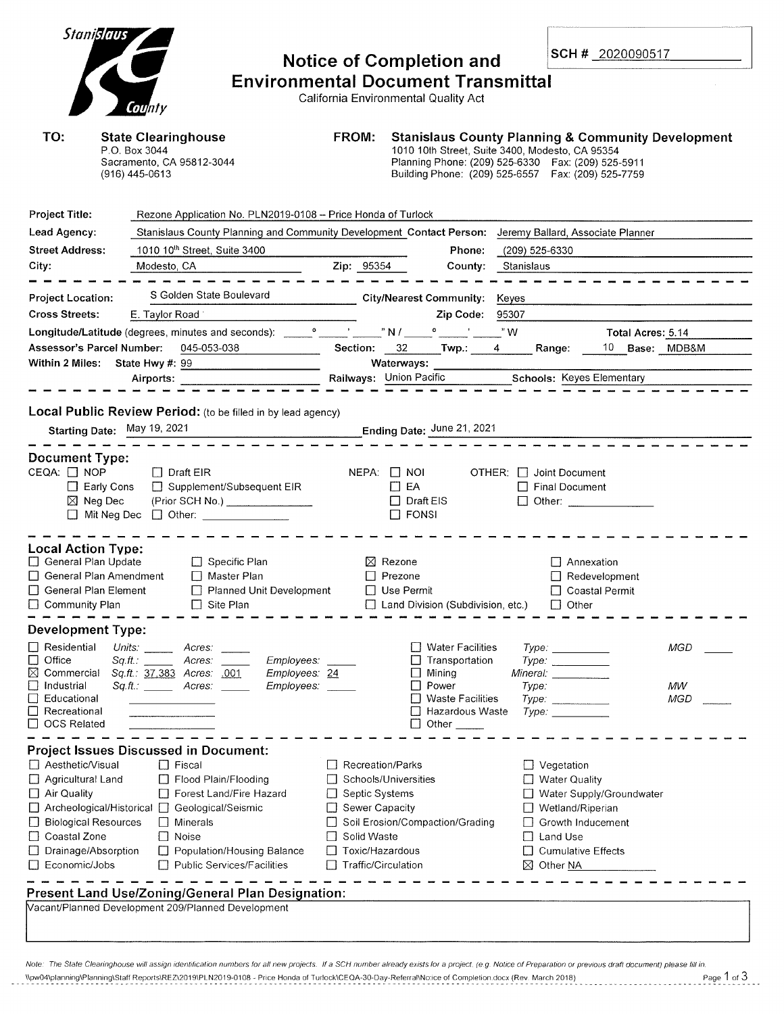| Stanislaus                                                                                                                                        | County                                                                                                                                                                                                                                                                                                                                                                          | <b>FROM:</b>                                                                                                                       | <b>Notice of Completion and</b><br><b>Environmental Document Transmittal</b><br>California Environmental Quality Act                                                                                                           |                              | SCH # 2020090517                                                                                                                                |                         |  |
|---------------------------------------------------------------------------------------------------------------------------------------------------|---------------------------------------------------------------------------------------------------------------------------------------------------------------------------------------------------------------------------------------------------------------------------------------------------------------------------------------------------------------------------------|------------------------------------------------------------------------------------------------------------------------------------|--------------------------------------------------------------------------------------------------------------------------------------------------------------------------------------------------------------------------------|------------------------------|-------------------------------------------------------------------------------------------------------------------------------------------------|-------------------------|--|
| TO:<br><b>State Clearinghouse</b><br>P.O. Box 3044<br>Sacramento, CA 95812-3044<br>(916) 445-0613                                                 |                                                                                                                                                                                                                                                                                                                                                                                 |                                                                                                                                    | <b>Stanislaus County Planning &amp; Community Development</b><br>1010 10th Street, Suite 3400, Modesto, CA 95354<br>Planning Phone: (209) 525-6330  Fax: (209) 525-5911<br>Building Phone: (209) 525-6557  Fax: (209) 525-7759 |                              |                                                                                                                                                 |                         |  |
| <b>Project Title:</b>                                                                                                                             | Rezone Application No. PLN2019-0108 - Price Honda of Turlock                                                                                                                                                                                                                                                                                                                    |                                                                                                                                    |                                                                                                                                                                                                                                |                              |                                                                                                                                                 |                         |  |
| Lead Agency:                                                                                                                                      | Stanislaus County Planning and Community Development Contact Person: Jeremy Ballard, Associate Planner                                                                                                                                                                                                                                                                          |                                                                                                                                    |                                                                                                                                                                                                                                |                              |                                                                                                                                                 |                         |  |
| <b>Street Address:</b>                                                                                                                            | 1010 10 <sup>th</sup> Street, Suite 3400                                                                                                                                                                                                                                                                                                                                        |                                                                                                                                    | Phone:                                                                                                                                                                                                                         | (209) 525-6330               |                                                                                                                                                 |                         |  |
| City:                                                                                                                                             | $\overline{\phantom{a}}$<br>Modesto, CA                                                                                                                                                                                                                                                                                                                                         |                                                                                                                                    | Zip: 95354<br>County:                                                                                                                                                                                                          | Stanislaus                   |                                                                                                                                                 |                         |  |
|                                                                                                                                                   |                                                                                                                                                                                                                                                                                                                                                                                 |                                                                                                                                    |                                                                                                                                                                                                                                |                              |                                                                                                                                                 |                         |  |
| <b>Project Location:</b>                                                                                                                          | S Golden State Boulevard                                                                                                                                                                                                                                                                                                                                                        |                                                                                                                                    | City/Nearest Community: Keyes                                                                                                                                                                                                  |                              |                                                                                                                                                 |                         |  |
| <b>Cross Streets:</b>                                                                                                                             | E. Taylor Road                                                                                                                                                                                                                                                                                                                                                                  |                                                                                                                                    | Zip Code: 95307                                                                                                                                                                                                                |                              |                                                                                                                                                 |                         |  |
|                                                                                                                                                   |                                                                                                                                                                                                                                                                                                                                                                                 |                                                                                                                                    |                                                                                                                                                                                                                                |                              | Total Acres: 5.14                                                                                                                               |                         |  |
| Assessor's Parcel Number:                                                                                                                         | 045-053-038                                                                                                                                                                                                                                                                                                                                                                     |                                                                                                                                    | Section: 32 Twp.: 4 Range:                                                                                                                                                                                                     |                              | 10 Base: MDB&M                                                                                                                                  |                         |  |
| Within 2 Miles: State Hwy #: 99                                                                                                                   |                                                                                                                                                                                                                                                                                                                                                                                 |                                                                                                                                    | Waterways: _________                                                                                                                                                                                                           |                              |                                                                                                                                                 |                         |  |
|                                                                                                                                                   | Airports:                                                                                                                                                                                                                                                                                                                                                                       |                                                                                                                                    | Railways: Union Pacific Schools: Keyes Elementary                                                                                                                                                                              |                              |                                                                                                                                                 |                         |  |
| Local Public Review Period: (to be filled in by lead agency)<br>Starting Date: May 19, 2021                                                       |                                                                                                                                                                                                                                                                                                                                                                                 |                                                                                                                                    |                                                                                                                                                                                                                                |                              |                                                                                                                                                 |                         |  |
| <b>Document Type:</b><br>CEQA: $\Box$ NOP<br>$\Box$ Early Cons<br>$\boxtimes$ Neg Dec                                                             | $\Box$ Draft EIR<br>□ Supplement/Subsequent EIR<br>(Prior SCH No.) _______________<br>□ Mit Neg Dec □ Other: _______________                                                                                                                                                                                                                                                    |                                                                                                                                    | $NEPA:$ $\Box$ NOI<br>$\Box$ EA<br>$\Box$ Draft EIS<br>$\Box$ FONSI                                                                                                                                                            | $OTHER: \Box$ Joint Document | $\Box$ Final Document<br>$\Box$ Other:                                                                                                          |                         |  |
| <b>Local Action Type:</b><br>General Plan Update<br>$\Box$ General Plan Amendment<br>General Plan Element<br>□ Community Plan                     | $\Box$ Specific Plan<br>□ Master Plan<br>Planned Unit Development<br>$\Box$ Site Plan                                                                                                                                                                                                                                                                                           |                                                                                                                                    | $\boxtimes$ Rezone<br>$\Box$ Prezone<br>□ Use Permit<br>□ Land Division (Subdivision, etc.)                                                                                                                                    |                              | □ Annexation<br>$\Box$ Redevelopment<br>□ Coastal Permit<br>$\Box$ Other                                                                        |                         |  |
| <b>Development Type:</b>                                                                                                                          |                                                                                                                                                                                                                                                                                                                                                                                 |                                                                                                                                    |                                                                                                                                                                                                                                |                              |                                                                                                                                                 |                         |  |
| $\Box$ Residential<br>Units:<br>Office<br>Sa.ft.:<br>$\Box$<br>⊠<br>Commercial<br>Industrial<br>Educational<br>Recreational<br><b>OCS Related</b> | Acres:<br>$\sim$ 10 $\mu$<br>Employees:<br>Acres:<br>Sq.ft.: 37,383 Acres: .001<br>Employees: 24<br>$Sq.H.:$ Acres: ________<br>Employees:                                                                                                                                                                                                                                      |                                                                                                                                    | $\Box$ Water Facilities<br>Transportation<br>$\Box$ Mining<br>Power<br><b>Waste Facilities</b><br>Hazardous Waste<br>Other                                                                                                     | Type:                        | Type:<br>Type:<br>Mineral: __________<br>Type:<br>Type:                                                                                         | <b>MGD</b><br>MW<br>MGD |  |
| Aesthetic/Visual<br>Agricultural Land<br>$\Box$ Air Quality<br>□ Biological Resources<br>Coastal Zone<br>Drainage/Absorption<br>Economic/Jobs     | <b>Project Issues Discussed in Document:</b><br>$\Box$ Fiscal<br>Flood Plain/Flooding<br>Forest Land/Fire Hazard<br>□ Archeological/Historical □ Geological/Seismic<br>$\Box$ Minerals<br>$\Box$ Noise<br>Population/Housing Balance<br>□ Public Services/Facilities<br>Present Land Use/Zoning/General Plan Designation:<br>Vacant/Planned Development 209/Planned Development | Recreation/Parks<br>U<br>Septic Systems<br>Sewer Capacity<br>Solid Waste<br>Toxic/Hazardous<br>$\mathbf{1}$<br>Traffic/Circulation | Schools/Universities<br>Soil Erosion/Compaction/Grading                                                                                                                                                                        | $\boxtimes$ Other NA         | $\Box$ Vegetation<br>□ Water Quality<br>Water Supply/Groundwater<br>□ Wetland/Riperian<br>Growth Inducement<br>Land Use<br>□ Cumulative Effects |                         |  |

Note: The State Clearinghouse will assign identification numbers for all new projects. If a SCH number already exists for a project. (e.g. Notice of Preparation or previous draft document) please fill in. Wow04\planning\Planning\Staff Reports\REZ\2019\PLN2019-0108 - Price Honda of Turlock\CEQA-30-Day-Referral\Notice of Completion.docx (Rev. March 2018) Page 1 of 3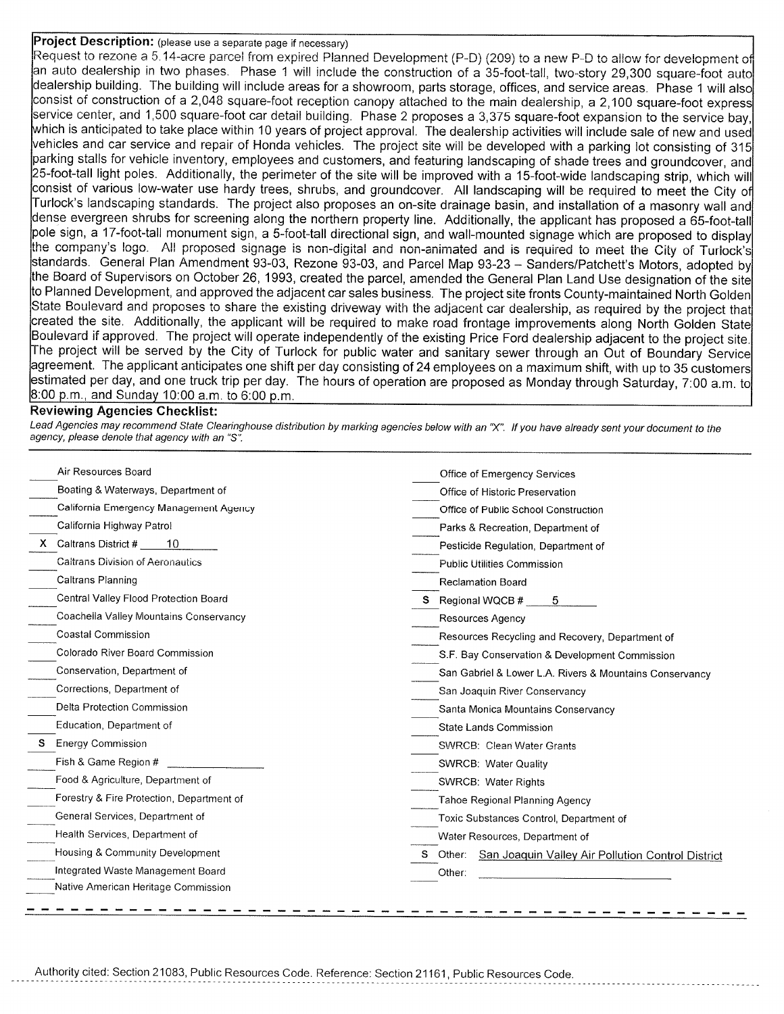## Project Description: (please use a separate page if necessary)

Request to rezone a 5.14-acre parcel from expired Planned Development (P-D) (209) to a new P-D to allow for development of an auto dealership in two phases. Phase 1 will include the construction of a 35-foot-tall, two-story 29,300 square-foot auto dealership building. The building will include areas for a showroom, parts storage, offices, and service areas. Phase 1 will also consist of construction of a 2,048 square-foot reception canopy attached to the main dealership, a 2,100 square-foot express service center, and 1,500 square-foot car detail building. Phase 2 proposes a 3,375 square-foot expansion to the service bay, which is anticipated to take place within 10 years of project approval. The dealership activities will include sale of new and used vehicles and car service and repair of Honda vehicles. The project site will be developed with a parking lot consisting of 315 parking stalls for vehicle inventory, employees and customers, and featuring landscaping of shade trees and groundcover, and 25-foot-tall light poles. Additionally, the perimeter of the site will be improved with a 15-foot-wide landscaping strip, which will consist of various low-water use hardy trees, shrubs, and groundcover. All landscaping will be required to meet the City of Turlock's landscaping standards. The project also proposes an on-site drainage basin, and installation of a masonry wall and dense evergreen shrubs for screening along the northern property line. Additionally, the applicant has proposed a 65-foot-tall pole sign, a 17-foot-tall monument sign, a 5-foot-tall directional sign, and wall-mounted signage which are proposed to display the company's logo. All proposed signage is non-digital and non-animated and is required to meet the City of Turlock's standards. General Plan Amendment 93-03, Rezone 93-03, and Parcel Map 93-23 – Sanders/Patchett's Motors, adopted by the Board of Supervisors on October 26, 1993, created the parcel, amended the General Plan Land Use designation of the site to Planned Development, and approved the adjacent car sales business. The project site fronts County-maintained North Golden State Boulevard and proposes to share the existing driveway with the adjacent car dealership, as required by the project that created the site. Additionally, the applicant will be required to make road frontage improvements along North Golden State Boulevard if approved. The project will operate independently of the existing Price Ford dealership adjacent to the project site. The project will be served by the City of Turlock for public water and sanitary sewer through an Out of Boundary Service agreement. The applicant anticipates one shift per day consisting of 24 employees on a maximum shift, with up to 35 customers estimated per day, and one truck trip per day. The hours of operation are proposed as Monday through Saturday, 7:00 a.m. to  $8:00$  p.m., and Sunday 10:00 a.m. to 6:00 p.m.

## **Reviewing Agencies Checklist:**

Lead Agencies may recommend State Clearinghouse distribution by marking agencies below with an "X". If you have already sent your document to the agency, please denote that agency with an "S".

| Air Resources Board                       | Office of Emergency Services                               |  |  |  |
|-------------------------------------------|------------------------------------------------------------|--|--|--|
| Boating & Waterways, Department of        | Office of Historic Preservation                            |  |  |  |
| California Emergency Management Agency    | Office of Public School Construction                       |  |  |  |
| California Highway Patrol                 | Parks & Recreation, Department of                          |  |  |  |
| Caltrans District #<br>-10                | Pesticide Regulation, Department of                        |  |  |  |
| <b>Caltrans Division of Aeronautics</b>   | Public Utilities Commission                                |  |  |  |
| Caltrans Planning                         | <b>Reclamation Board</b>                                   |  |  |  |
| Central Valley Flood Protection Board     | S Regional WQCB #<br>-5                                    |  |  |  |
| Coachella Valley Mountains Conservancy    | Resources Agency                                           |  |  |  |
| Coastal Commission                        | Resources Recycling and Recovery, Department of            |  |  |  |
| Colorado River Board Commission           | S.F. Bay Conservation & Development Commission             |  |  |  |
| Conservation, Department of               | San Gabriel & Lower L.A. Rivers & Mountains Conservancy    |  |  |  |
| Corrections, Department of                | San Joaquin River Conservancy                              |  |  |  |
| Delta Protection Commission               | Santa Monica Mountains Conservancy                         |  |  |  |
| Education, Department of                  | State Lands Commission                                     |  |  |  |
| <b>Energy Commission</b>                  | <b>SWRCB: Clean Water Grants</b>                           |  |  |  |
| Fish & Game Region #                      | SWRCB: Water Quality                                       |  |  |  |
| Food & Agriculture, Department of         | SWRCB: Water Rights                                        |  |  |  |
| Forestry & Fire Protection, Department of | Tahoe Regional Planning Agency                             |  |  |  |
| General Services, Department of           | Toxic Substances Control, Department of                    |  |  |  |
| Health Services, Department of            | Water Resources, Department of                             |  |  |  |
| Housing & Community Development           | S Other: San Joaquin Valley Air Pollution Control District |  |  |  |
| Integrated Waste Management Board         | Other:                                                     |  |  |  |
| Native American Heritage Commission       |                                                            |  |  |  |